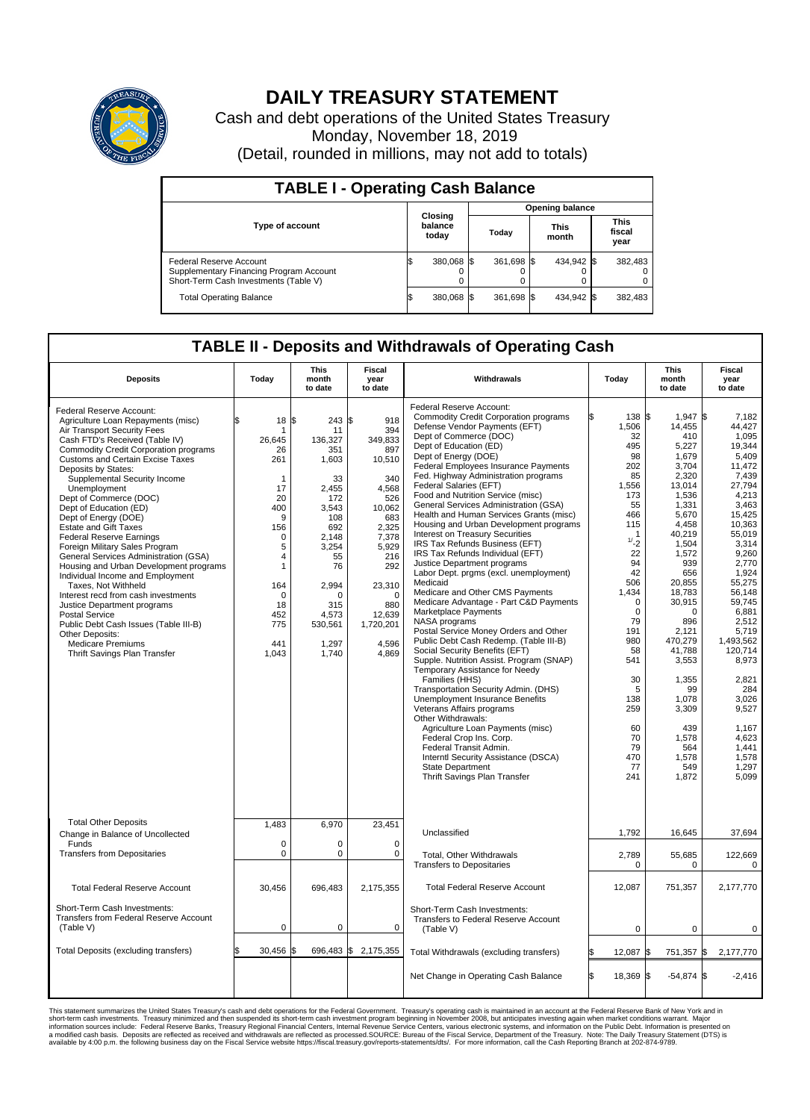

## **DAILY TREASURY STATEMENT**

Cash and debt operations of the United States Treasury Monday, November 18, 2019 (Detail, rounded in millions, may not add to totals)

| <b>TABLE I - Operating Cash Balance</b>                                                                     |                             |            |       |                        |  |                      |                               |         |  |  |  |
|-------------------------------------------------------------------------------------------------------------|-----------------------------|------------|-------|------------------------|--|----------------------|-------------------------------|---------|--|--|--|
|                                                                                                             |                             |            |       | <b>Opening balance</b> |  |                      |                               |         |  |  |  |
| Type of account                                                                                             | Closing<br>balance<br>today |            | Today |                        |  | <b>This</b><br>month | <b>This</b><br>fiscal<br>year |         |  |  |  |
| Federal Reserve Account<br>Supplementary Financing Program Account<br>Short-Term Cash Investments (Table V) |                             | 380,068 \$ |       | 361,698 \$             |  | 434,942 \$           |                               | 382,483 |  |  |  |
| <b>Total Operating Balance</b>                                                                              | ß.                          | 380,068 \$ |       | 361,698 \$             |  | 434,942 \$           |                               | 382,483 |  |  |  |

## **TABLE II - Deposits and Withdrawals of Operating Cash**

| <b>Deposits</b>                                                                                                                                                                                                                                                                                                                                                                                                                                                                                                                                                                                                                                                                                                                                                                                                                                         | Today                                                                                                                                                            | <b>This</b><br>month<br>to date                                                                                                                                                    | <b>Fiscal</b><br>year<br>to date                                                                                                                                                              | Withdrawals                                                                                                                                                                                                                                                                                                                                                                                                                                                                                                                                                                                                                                                                                                                                                                                                                                                                                                                                                                                                                                                                                                                                                                                                                                                                                                                          | Today                                                                                                                                                                                                                                                                     | <b>This</b><br>month<br>to date                                                                                                                                                                                                                                                                                          | <b>Fiscal</b><br>year<br>to date                                                                                                                                                                                                                                                                                                               |  |  |  |  |
|---------------------------------------------------------------------------------------------------------------------------------------------------------------------------------------------------------------------------------------------------------------------------------------------------------------------------------------------------------------------------------------------------------------------------------------------------------------------------------------------------------------------------------------------------------------------------------------------------------------------------------------------------------------------------------------------------------------------------------------------------------------------------------------------------------------------------------------------------------|------------------------------------------------------------------------------------------------------------------------------------------------------------------|------------------------------------------------------------------------------------------------------------------------------------------------------------------------------------|-----------------------------------------------------------------------------------------------------------------------------------------------------------------------------------------------|--------------------------------------------------------------------------------------------------------------------------------------------------------------------------------------------------------------------------------------------------------------------------------------------------------------------------------------------------------------------------------------------------------------------------------------------------------------------------------------------------------------------------------------------------------------------------------------------------------------------------------------------------------------------------------------------------------------------------------------------------------------------------------------------------------------------------------------------------------------------------------------------------------------------------------------------------------------------------------------------------------------------------------------------------------------------------------------------------------------------------------------------------------------------------------------------------------------------------------------------------------------------------------------------------------------------------------------|---------------------------------------------------------------------------------------------------------------------------------------------------------------------------------------------------------------------------------------------------------------------------|--------------------------------------------------------------------------------------------------------------------------------------------------------------------------------------------------------------------------------------------------------------------------------------------------------------------------|------------------------------------------------------------------------------------------------------------------------------------------------------------------------------------------------------------------------------------------------------------------------------------------------------------------------------------------------|--|--|--|--|
| Federal Reserve Account:<br>Agriculture Loan Repayments (misc)<br>Air Transport Security Fees<br>Cash FTD's Received (Table IV)<br><b>Commodity Credit Corporation programs</b><br><b>Customs and Certain Excise Taxes</b><br>Deposits by States:<br>Supplemental Security Income<br>Unemployment<br>Dept of Commerce (DOC)<br>Dept of Education (ED)<br>Dept of Energy (DOE)<br><b>Estate and Gift Taxes</b><br><b>Federal Reserve Earnings</b><br>Foreign Military Sales Program<br>General Services Administration (GSA)<br>Housing and Urban Development programs<br>Individual Income and Employment<br>Taxes, Not Withheld<br>Interest recd from cash investments<br>Justice Department programs<br><b>Postal Service</b><br>Public Debt Cash Issues (Table III-B)<br>Other Deposits:<br><b>Medicare Premiums</b><br>Thrift Savings Plan Transfer | 18 S<br>\$.<br>26,645<br>26<br>261<br>$\mathbf{1}$<br>17<br>20<br>400<br>9<br>156<br>0<br>5<br>4<br>$\mathbf{1}$<br>164<br>0<br>18<br>452<br>775<br>441<br>1,043 | 243S<br>11<br>136.327<br>351<br>1,603<br>33<br>2.455<br>172<br>3.543<br>108<br>692<br>2,148<br>3,254<br>55<br>76<br>2,994<br>$\Omega$<br>315<br>4,573<br>530,561<br>1.297<br>1,740 | 918<br>394<br>349.833<br>897<br>10,510<br>340<br>4.568<br>526<br>10,062<br>683<br>2,325<br>7,378<br>5,929<br>216<br>292<br>23,310<br>$\Omega$<br>880<br>12,639<br>1,720,201<br>4.596<br>4,869 | Federal Reserve Account:<br><b>Commodity Credit Corporation programs</b><br>Defense Vendor Payments (EFT)<br>Dept of Commerce (DOC)<br>Dept of Education (ED)<br>Dept of Energy (DOE)<br><b>Federal Employees Insurance Payments</b><br>Fed. Highway Administration programs<br>Federal Salaries (EFT)<br>Food and Nutrition Service (misc)<br>General Services Administration (GSA)<br>Health and Human Services Grants (misc)<br>Housing and Urban Development programs<br>Interest on Treasury Securities<br>IRS Tax Refunds Business (EFT)<br>IRS Tax Refunds Individual (EFT)<br>Justice Department programs<br>Labor Dept. prgms (excl. unemployment)<br>Medicaid<br>Medicare and Other CMS Payments<br>Medicare Advantage - Part C&D Payments<br>Marketplace Payments<br>NASA programs<br>Postal Service Money Orders and Other<br>Public Debt Cash Redemp. (Table III-B)<br>Social Security Benefits (EFT)<br>Supple. Nutrition Assist. Program (SNAP)<br>Temporary Assistance for Needy<br>Families (HHS)<br>Transportation Security Admin. (DHS)<br>Unemployment Insurance Benefits<br>Veterans Affairs programs<br>Other Withdrawals:<br>Agriculture Loan Payments (misc)<br>Federal Crop Ins. Corp.<br>Federal Transit Admin.<br>Interntl Security Assistance (DSCA)<br>State Department<br>Thrift Savings Plan Transfer | 138 \$<br>1,506<br>32<br>495<br>98<br>202<br>85<br>1,556<br>173<br>55<br>466<br>115<br>$\mathbf 1$<br>1/2<br>22<br>94<br>42<br>506<br>1,434<br>$\mathbf 0$<br>$\mathbf 0$<br>79<br>191<br>980<br>58<br>541<br>30<br>5<br>138<br>259<br>60<br>70<br>79<br>470<br>77<br>241 | $1.947$ S<br>14,455<br>410<br>5,227<br>1,679<br>3,704<br>2,320<br>13,014<br>1,536<br>1,331<br>5,670<br>4,458<br>40,219<br>1,504<br>1,572<br>939<br>656<br>20,855<br>18,783<br>30,915<br>0<br>896<br>2,121<br>470,279<br>41.788<br>3,553<br>1,355<br>99<br>1,078<br>3,309<br>439<br>1,578<br>564<br>1,578<br>549<br>1,872 | 7.182<br>44,427<br>1.095<br>19.344<br>5,409<br>11,472<br>7.439<br>27,794<br>4,213<br>3,463<br>15,425<br>10,363<br>55,019<br>3,314<br>9.260<br>2,770<br>1,924<br>55,275<br>56,148<br>59.745<br>6,881<br>2.512<br>5,719<br>1,493,562<br>120.714<br>8,973<br>2,821<br>284<br>3,026<br>9,527<br>1,167<br>4.623<br>1,441<br>1,578<br>1,297<br>5,099 |  |  |  |  |
| <b>Total Other Deposits</b><br>Change in Balance of Uncollected                                                                                                                                                                                                                                                                                                                                                                                                                                                                                                                                                                                                                                                                                                                                                                                         | 1,483                                                                                                                                                            | 6,970                                                                                                                                                                              | 23,451                                                                                                                                                                                        | Unclassified                                                                                                                                                                                                                                                                                                                                                                                                                                                                                                                                                                                                                                                                                                                                                                                                                                                                                                                                                                                                                                                                                                                                                                                                                                                                                                                         | 1.792                                                                                                                                                                                                                                                                     | 16.645                                                                                                                                                                                                                                                                                                                   | 37,694                                                                                                                                                                                                                                                                                                                                         |  |  |  |  |
| Funds<br><b>Transfers from Depositaries</b>                                                                                                                                                                                                                                                                                                                                                                                                                                                                                                                                                                                                                                                                                                                                                                                                             | $\mathbf 0$<br>$\Omega$                                                                                                                                          | $\mathbf 0$<br>$\Omega$                                                                                                                                                            | $\mathbf 0$<br>$\Omega$                                                                                                                                                                       | Total, Other Withdrawals<br><b>Transfers to Depositaries</b>                                                                                                                                                                                                                                                                                                                                                                                                                                                                                                                                                                                                                                                                                                                                                                                                                                                                                                                                                                                                                                                                                                                                                                                                                                                                         | 2,789<br>$\mathbf 0$                                                                                                                                                                                                                                                      | 55,685<br>0                                                                                                                                                                                                                                                                                                              | 122,669<br>0                                                                                                                                                                                                                                                                                                                                   |  |  |  |  |
| <b>Total Federal Reserve Account</b>                                                                                                                                                                                                                                                                                                                                                                                                                                                                                                                                                                                                                                                                                                                                                                                                                    | 30,456                                                                                                                                                           | 696,483                                                                                                                                                                            | 2,175,355                                                                                                                                                                                     | <b>Total Federal Reserve Account</b>                                                                                                                                                                                                                                                                                                                                                                                                                                                                                                                                                                                                                                                                                                                                                                                                                                                                                                                                                                                                                                                                                                                                                                                                                                                                                                 | 12,087                                                                                                                                                                                                                                                                    | 751,357                                                                                                                                                                                                                                                                                                                  | 2,177,770                                                                                                                                                                                                                                                                                                                                      |  |  |  |  |
| Short-Term Cash Investments:<br>Transfers from Federal Reserve Account<br>(Table V)                                                                                                                                                                                                                                                                                                                                                                                                                                                                                                                                                                                                                                                                                                                                                                     | $\mathbf 0$                                                                                                                                                      | $\mathbf 0$                                                                                                                                                                        | $\mathbf 0$                                                                                                                                                                                   | Short-Term Cash Investments:<br>Transfers to Federal Reserve Account<br>(Table V)                                                                                                                                                                                                                                                                                                                                                                                                                                                                                                                                                                                                                                                                                                                                                                                                                                                                                                                                                                                                                                                                                                                                                                                                                                                    | $\mathbf 0$                                                                                                                                                                                                                                                               | $\mathbf 0$                                                                                                                                                                                                                                                                                                              | $\mathbf 0$                                                                                                                                                                                                                                                                                                                                    |  |  |  |  |
| Total Deposits (excluding transfers)                                                                                                                                                                                                                                                                                                                                                                                                                                                                                                                                                                                                                                                                                                                                                                                                                    | 30,456                                                                                                                                                           | l\$<br>696,483 \$                                                                                                                                                                  | 2,175,355                                                                                                                                                                                     | Total Withdrawals (excluding transfers)                                                                                                                                                                                                                                                                                                                                                                                                                                                                                                                                                                                                                                                                                                                                                                                                                                                                                                                                                                                                                                                                                                                                                                                                                                                                                              | 12,087                                                                                                                                                                                                                                                                    | 751,357 \$                                                                                                                                                                                                                                                                                                               | 2,177,770                                                                                                                                                                                                                                                                                                                                      |  |  |  |  |
|                                                                                                                                                                                                                                                                                                                                                                                                                                                                                                                                                                                                                                                                                                                                                                                                                                                         |                                                                                                                                                                  |                                                                                                                                                                                    |                                                                                                                                                                                               | Net Change in Operating Cash Balance                                                                                                                                                                                                                                                                                                                                                                                                                                                                                                                                                                                                                                                                                                                                                                                                                                                                                                                                                                                                                                                                                                                                                                                                                                                                                                 | ß.<br>18,369 \$                                                                                                                                                                                                                                                           | $-54,874$ \$                                                                                                                                                                                                                                                                                                             | $-2,416$                                                                                                                                                                                                                                                                                                                                       |  |  |  |  |

This statement summarizes the United States Treasury's cash and debt operations for the Federal Government. Treasury soperating in November 2008, but anticiarded in a cocount at the Federal metaform mathemultions warrant.